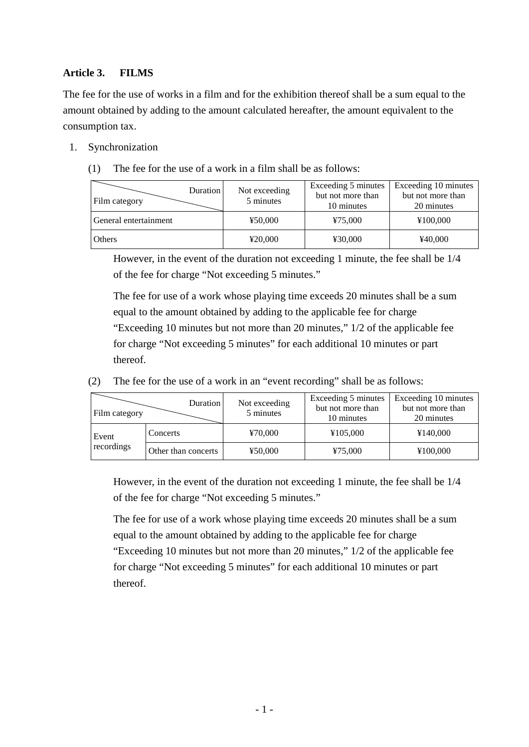## **Article 3. FILMS**

The fee for the use of works in a film and for the exhibition thereof shall be a sum equal to the amount obtained by adding to the amount calculated hereafter, the amount equivalent to the consumption tax.

- 1. Synchronization
	- (1) The fee for the use of a work in a film shall be as follows:

| Duration<br>Film category | Not exceeding<br>5 minutes | Exceeding 5 minutes<br>but not more than<br>10 minutes | Exceeding 10 minutes<br>but not more than<br>20 minutes |
|---------------------------|----------------------------|--------------------------------------------------------|---------------------------------------------------------|
| General entertainment     | ¥50,000                    | ¥75,000                                                | ¥100,000                                                |
| Others                    | ¥20,000                    | ¥30,000                                                | ¥40,000                                                 |

However, in the event of the duration not exceeding 1 minute, the fee shall be 1/4 of the fee for charge "Not exceeding 5 minutes."

The fee for use of a work whose playing time exceeds 20 minutes shall be a sum equal to the amount obtained by adding to the applicable fee for charge "Exceeding 10 minutes but not more than 20 minutes," 1/2 of the applicable fee for charge "Not exceeding 5 minutes" for each additional 10 minutes or part thereof.

(2) The fee for the use of a work in an "event recording" shall be as follows:

| Film category       | Duration            | Not exceeding<br>5 minutes | Exceeding 5 minutes<br>but not more than<br>10 minutes | Exceeding 10 minutes<br>but not more than<br>20 minutes |
|---------------------|---------------------|----------------------------|--------------------------------------------------------|---------------------------------------------------------|
| Event<br>recordings | Concerts            | ¥70,000                    | ¥105,000                                               | ¥140,000                                                |
|                     | Other than concerts | ¥50,000                    | ¥75,000                                                | ¥100,000                                                |

However, in the event of the duration not exceeding 1 minute, the fee shall be 1/4 of the fee for charge "Not exceeding 5 minutes."

The fee for use of a work whose playing time exceeds 20 minutes shall be a sum equal to the amount obtained by adding to the applicable fee for charge "Exceeding 10 minutes but not more than 20 minutes," 1/2 of the applicable fee for charge "Not exceeding 5 minutes" for each additional 10 minutes or part thereof.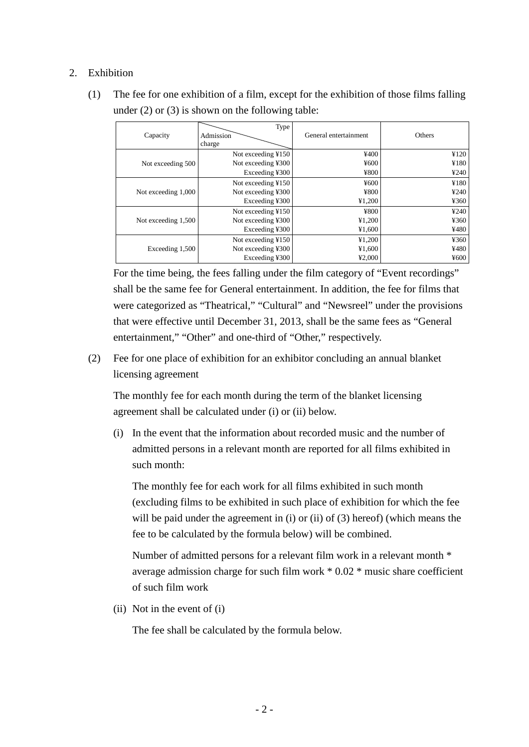## 2. Exhibition

(1) The fee for one exhibition of a film, except for the exhibition of those films falling under (2) or (3) is shown on the following table:

| Capacity            | Type<br>Admission<br>charge | General entertainment | Others |
|---------------------|-----------------------------|-----------------------|--------|
| Not exceeding 500   | Not exceeding ¥150          | ¥400                  | ¥120   |
|                     | Not exceeding ¥300          | ¥600                  | ¥180   |
|                     | Exceeding ¥300              | ¥800                  | 4240   |
| Not exceeding 1,000 | Not exceeding ¥150          | ¥600                  | ¥180   |
|                     | Not exceeding ¥300          | ¥800                  | 4240   |
|                     | Exceeding ¥300              | ¥1,200                | ¥360   |
| Not exceeding 1,500 | Not exceeding ¥150          | ¥800                  | 4240   |
|                     | Not exceeding ¥300          | ¥1,200                | 4360   |
|                     | Exceeding ¥300              | ¥1,600                | ¥480   |
| Exceeding 1,500     | Not exceeding ¥150          | ¥1,200                | ¥360   |
|                     | Not exceeding ¥300          | ¥1,600                | ¥480   |
|                     | Exceeding ¥300              | 42,000                | ¥600   |

For the time being, the fees falling under the film category of "Event recordings" shall be the same fee for General entertainment. In addition, the fee for films that were categorized as "Theatrical," "Cultural" and "Newsreel" under the provisions that were effective until December 31, 2013, shall be the same fees as "General entertainment," "Other" and one-third of "Other," respectively.

(2) Fee for one place of exhibition for an exhibitor concluding an annual blanket licensing agreement

The monthly fee for each month during the term of the blanket licensing agreement shall be calculated under (i) or (ii) below.

(i) In the event that the information about recorded music and the number of admitted persons in a relevant month are reported for all films exhibited in such month:

The monthly fee for each work for all films exhibited in such month (excluding films to be exhibited in such place of exhibition for which the fee will be paid under the agreement in (i) or (ii) of (3) hereof) (which means the fee to be calculated by the formula below) will be combined.

Number of admitted persons for a relevant film work in a relevant month \* average admission charge for such film work \* 0.02 \* music share coefficient of such film work

(ii) Not in the event of (i)

The fee shall be calculated by the formula below.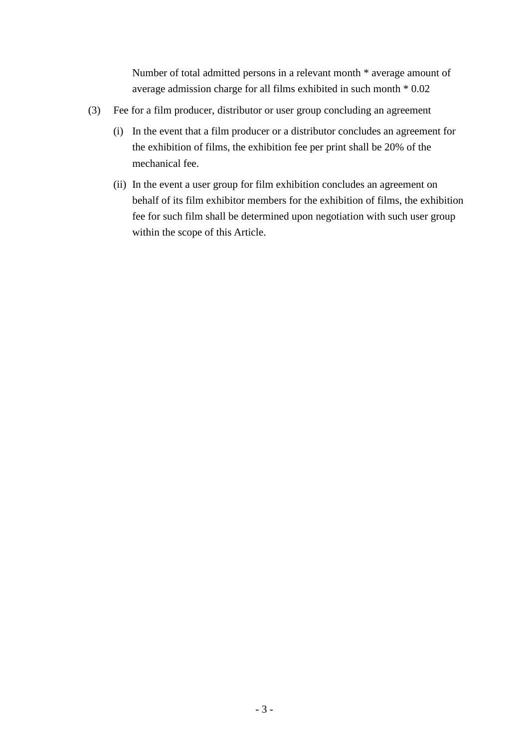Number of total admitted persons in a relevant month \* average amount of average admission charge for all films exhibited in such month \* 0.02

- (3) Fee for a film producer, distributor or user group concluding an agreement
	- (i) In the event that a film producer or a distributor concludes an agreement for the exhibition of films, the exhibition fee per print shall be 20% of the mechanical fee.
	- (ii) In the event a user group for film exhibition concludes an agreement on behalf of its film exhibitor members for the exhibition of films, the exhibition fee for such film shall be determined upon negotiation with such user group within the scope of this Article.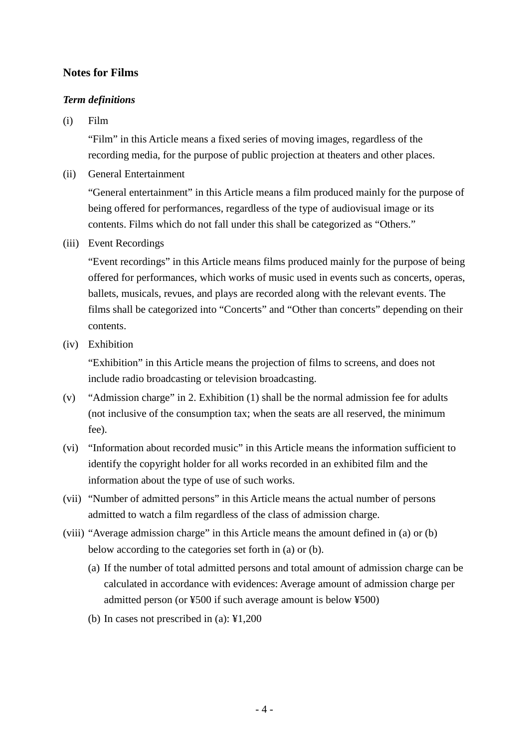# **Notes for Films**

#### *Term definitions*

(i) Film

"Film" in this Article means a fixed series of moving images, regardless of the recording media, for the purpose of public projection at theaters and other places.

(ii) General Entertainment

"General entertainment" in this Article means a film produced mainly for the purpose of being offered for performances, regardless of the type of audiovisual image or its contents. Films which do not fall under this shall be categorized as "Others."

(iii) Event Recordings

"Event recordings" in this Article means films produced mainly for the purpose of being offered for performances, which works of music used in events such as concerts, operas, ballets, musicals, revues, and plays are recorded along with the relevant events. The films shall be categorized into "Concerts" and "Other than concerts" depending on their contents.

(iv) Exhibition

"Exhibition" in this Article means the projection of films to screens, and does not include radio broadcasting or television broadcasting.

- (v) "Admission charge" in 2. Exhibition (1) shall be the normal admission fee for adults (not inclusive of the consumption tax; when the seats are all reserved, the minimum fee).
- (vi) "Information about recorded music" in this Article means the information sufficient to identify the copyright holder for all works recorded in an exhibited film and the information about the type of use of such works.
- (vii) "Number of admitted persons" in this Article means the actual number of persons admitted to watch a film regardless of the class of admission charge.
- (viii) "Average admission charge" in this Article means the amount defined in (a) or (b) below according to the categories set forth in (a) or (b).
	- (a) If the number of total admitted persons and total amount of admission charge can be calculated in accordance with evidences: Average amount of admission charge per admitted person (or ¥500 if such average amount is below ¥500)
	- (b) In cases not prescribed in (a): ¥1,200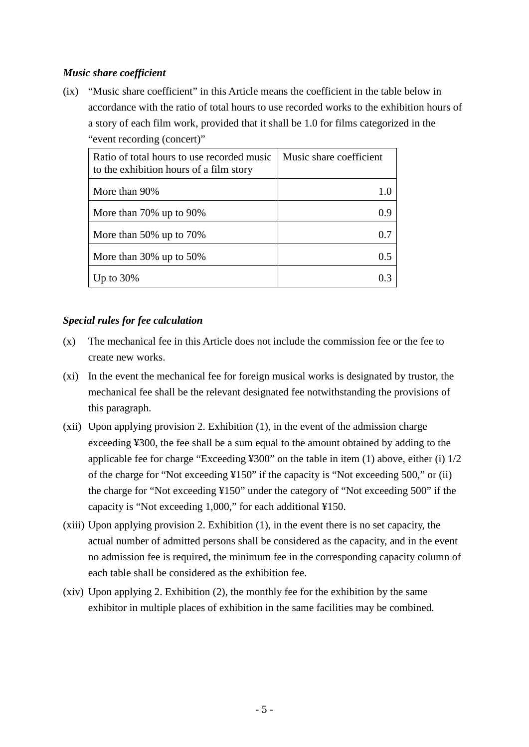## *Music share coefficient*

(ix) "Music share coefficient" in this Article means the coefficient in the table below in accordance with the ratio of total hours to use recorded works to the exhibition hours of a story of each film work, provided that it shall be 1.0 for films categorized in the "event recording (concert)"

| Ratio of total hours to use recorded music<br>to the exhibition hours of a film story | Music share coefficient |
|---------------------------------------------------------------------------------------|-------------------------|
| More than 90%                                                                         |                         |
| More than $70\%$ up to $90\%$                                                         | 09                      |
| More than $50\%$ up to $70\%$                                                         |                         |
| More than $30\%$ up to $50\%$                                                         |                         |
| Up to $30\%$                                                                          |                         |

#### *Special rules for fee calculation*

- (x) The mechanical fee in this Article does not include the commission fee or the fee to create new works.
- (xi) In the event the mechanical fee for foreign musical works is designated by trustor, the mechanical fee shall be the relevant designated fee notwithstanding the provisions of this paragraph.
- (xii) Upon applying provision 2. Exhibition (1), in the event of the admission charge exceeding ¥300, the fee shall be a sum equal to the amount obtained by adding to the applicable fee for charge "Exceeding ¥300" on the table in item (1) above, either (i) 1/2 of the charge for "Not exceeding ¥150" if the capacity is "Not exceeding 500," or (ii) the charge for "Not exceeding ¥150" under the category of "Not exceeding 500" if the capacity is "Not exceeding 1,000," for each additional ¥150.
- (xiii) Upon applying provision 2. Exhibition (1), in the event there is no set capacity, the actual number of admitted persons shall be considered as the capacity, and in the event no admission fee is required, the minimum fee in the corresponding capacity column of each table shall be considered as the exhibition fee.
- (xiv) Upon applying 2. Exhibition (2), the monthly fee for the exhibition by the same exhibitor in multiple places of exhibition in the same facilities may be combined.